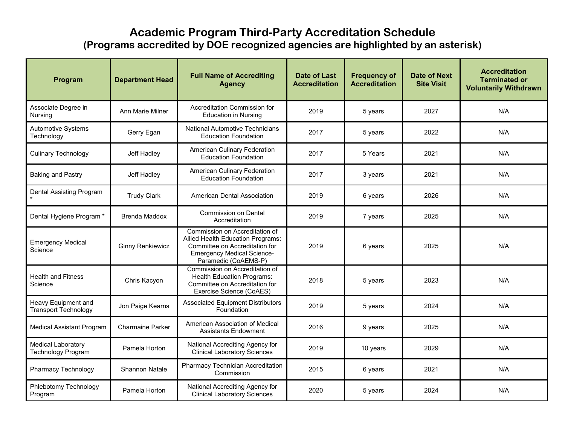## **Academic Program Third-Party Accreditation Schedule (Programs accredited by DOE recognized agencies are highlighted by an asterisk)**

| Program                                                | <b>Department Head</b>  | <b>Full Name of Accrediting</b><br><b>Agency</b>                                                                                                                   | <b>Date of Last</b><br><b>Accreditation</b> | <b>Frequency of</b><br><b>Accreditation</b> | <b>Date of Next</b><br><b>Site Visit</b> | <b>Accreditation</b><br><b>Terminated or</b><br><b>Voluntarily Withdrawn</b> |
|--------------------------------------------------------|-------------------------|--------------------------------------------------------------------------------------------------------------------------------------------------------------------|---------------------------------------------|---------------------------------------------|------------------------------------------|------------------------------------------------------------------------------|
| Associate Degree in<br><b>Nursing</b>                  | Ann Marie Milner        | Accreditation Commission for<br><b>Education in Nursing</b>                                                                                                        | 2019                                        | 5 years                                     | 2027                                     | N/A                                                                          |
| Automotive Systems<br>Technology                       | Gerry Egan              | <b>National Automotive Technicians</b><br><b>Education Foundation</b>                                                                                              | 2017                                        | 5 years                                     | 2022                                     | N/A                                                                          |
| <b>Culinary Technology</b>                             | Jeff Hadley             | American Culinary Federation<br><b>Education Foundation</b>                                                                                                        | 2017                                        | 5 Years                                     | 2021                                     | N/A                                                                          |
| <b>Baking and Pastry</b>                               | Jeff Hadley             | American Culinary Federation<br><b>Education Foundation</b>                                                                                                        | 2017                                        | 3 years                                     | 2021                                     | N/A                                                                          |
| Dental Assisting Program                               | <b>Trudy Clark</b>      | American Dental Association                                                                                                                                        | 2019                                        | 6 years                                     | 2026                                     | N/A                                                                          |
| Dental Hygiene Program *                               | <b>Brenda Maddox</b>    | <b>Commission on Dental</b><br>Accreditation                                                                                                                       | 2019                                        | 7 years                                     | 2025                                     | N/A                                                                          |
| <b>Emergency Medical</b><br>Science                    | <b>Ginny Renkiewicz</b> | Commission on Accreditation of<br>Allied Health Education Programs:<br>Committee on Accreditation for<br><b>Emergency Medical Science-</b><br>Paramedic (CoAEMS-P) | 2019                                        | 6 years                                     | 2025                                     | N/A                                                                          |
| <b>Health and Fitness</b><br>Science                   | Chris Kacyon            | Commission on Accreditation of<br><b>Health Education Programs:</b><br>Committee on Accreditation for<br>Exercise Science (CoAES)                                  | 2018                                        | 5 years                                     | 2023                                     | N/A                                                                          |
| Heavy Equipment and<br><b>Transport Technology</b>     | Jon Paige Kearns        | <b>Associated Equipment Distributors</b><br>Foundation                                                                                                             | 2019                                        | 5 years                                     | 2024                                     | N/A                                                                          |
| <b>Medical Assistant Program</b>                       | <b>Charmaine Parker</b> | American Association of Medical<br><b>Assistants Endowment</b>                                                                                                     | 2016                                        | 9 years                                     | 2025                                     | N/A                                                                          |
| <b>Medical Laboratory</b><br><b>Technology Program</b> | Pamela Horton           | National Accrediting Agency for<br><b>Clinical Laboratory Sciences</b>                                                                                             | 2019                                        | 10 years                                    | 2029                                     | N/A                                                                          |
| Pharmacy Technology                                    | <b>Shannon Natale</b>   | Pharmacy Technician Accreditation<br>Commission                                                                                                                    | 2015                                        | 6 years                                     | 2021                                     | N/A                                                                          |
| Phlebotomy Technology<br>Program                       | Pamela Horton           | National Accrediting Agency for<br><b>Clinical Laboratory Sciences</b>                                                                                             | 2020                                        | 5 years                                     | 2024                                     | N/A                                                                          |